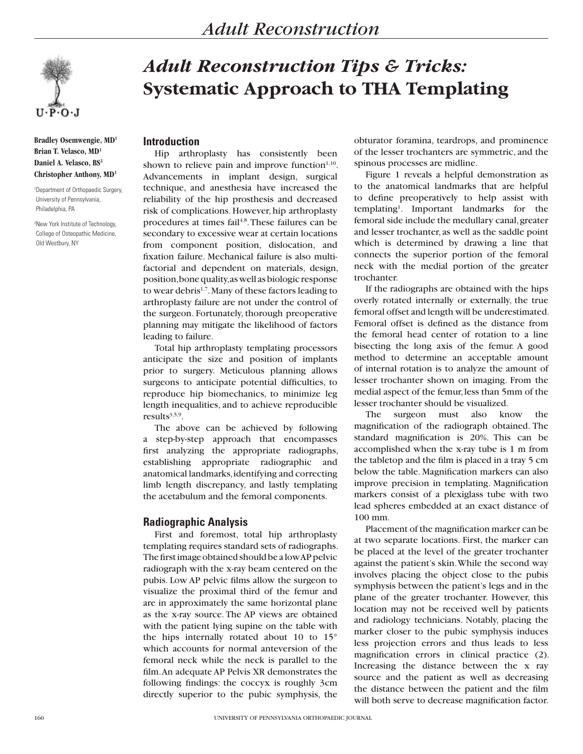

**Bradley Osemwengie, MD1 Brian T. Velasco, MD1 Daniel A. Velasco, BS2 Christopher Anthony, MD1**

1 Department of Orthopaedic Surgery, University of Pennsylvania, Philadelphia, PA

2 New York Institute of Technology, College of Osteopathic Medicine, Old Westbury, NY

# *Adult Reconstruction Tips & Tricks:* **Systematic Approach to THA Templating**

#### **Introduction**

Hip arthroplasty has consistently been shown to relieve pain and improve function $1,10$ . Advancements in implant design, surgical technique, and anesthesia have increased the reliability of the hip prosthesis and decreased risk of complications. However, hip arthroplasty procedures at times fail<sup>4,8</sup>. These failures can be secondary to excessive wear at certain locations from component position, dislocation, and fixation failure. Mechanical failure is also multifactorial and dependent on materials, design, position, bone quality, as well as biologic response to wear debris<sup>1,7</sup>. Many of these factors leading to arthroplasty failure are not under the control of the surgeon. Fortunately, thorough preoperative planning may mitigate the likelihood of factors leading to failure.

Total hip arthroplasty templating processors anticipate the size and position of implants prior to surgery. Meticulous planning allows surgeons to anticipate potential difficulties, to reproduce hip biomechanics, to minimize leg length inequalities, and to achieve reproducible results $3,5,9$ .

The above can be achieved by following a step-by-step approach that encompasses first analyzing the appropriate radiographs, establishing appropriate radiographic and anatomical landmarks, identifying and correcting limb length discrepancy, and lastly templating the acetabulum and the femoral components.

## **Radiographic Analysis**

First and foremost, total hip arthroplasty templating requires standard sets of radiographs. The first image obtained should be a low AP pelvic radiograph with the x-ray beam centered on the pubis. Low AP pelvic films allow the surgeon to visualize the proximal third of the femur and are in approximately the same horizontal plane as the x-ray source. The AP views are obtained with the patient lying supine on the table with the hips internally rotated about 10 to 15° which accounts for normal anteversion of the femoral neck while the neck is parallel to the film. An adequate AP Pelvis XR demonstrates the following findings: the coccyx is roughly 3cm directly superior to the pubic symphysis, the

obturator foramina, teardrops, and prominence of the lesser trochanters are symmetric, and the spinous processes are midline.

Figure 1 reveals a helpful demonstration as to the anatomical landmarks that are helpful to define preoperatively to help assist with templating1 . Important landmarks for the femoral side include the medullary canal, greater and lesser trochanter, as well as the saddle point which is determined by drawing a line that connects the superior portion of the femoral neck with the medial portion of the greater trochanter.

If the radiographs are obtained with the hips overly rotated internally or externally, the true femoral offset and length will be underestimated. Femoral offset is defined as the distance from the femoral head center of rotation to a line bisecting the long axis of the femur. A good method to determine an acceptable amount of internal rotation is to analyze the amount of lesser trochanter shown on imaging. From the medial aspect of the femur, less than 5mm of the lesser trochanter should be visualized.

The surgeon must also know the magnification of the radiograph obtained. The standard magnification is 20%. This can be accomplished when the x-ray tube is 1 m from the tabletop and the film is placed in a tray 5 cm below the table. Magnification markers can also improve precision in templating. Magnification markers consist of a plexiglass tube with two lead spheres embedded at an exact distance of 100 mm.

Placement of the magnification marker can be at two separate locations. First, the marker can be placed at the level of the greater trochanter against the patient's skin. While the second way involves placing the object close to the pubis symphysis between the patient's legs and in the plane of the greater trochanter. However, this location may not be received well by patients and radiology technicians. Notably, placing the marker closer to the pubic symphysis induces less projection errors and thus leads to less magnification errors in clinical practice (2). Increasing the distance between the x ray source and the patient as well as decreasing the distance between the patient and the film will both serve to decrease magnification factor.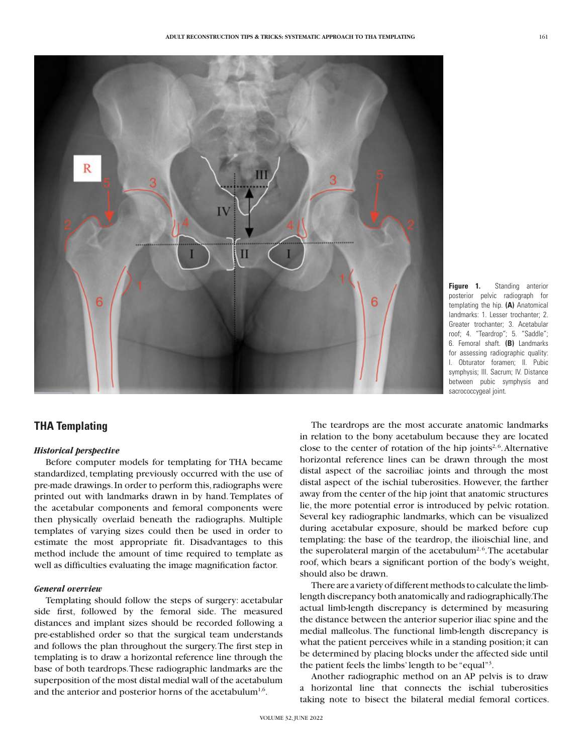

**Figure 1.** Standing anterior posterior pelvic radiograph for templating the hip. **(A)** Anatomical landmarks: 1. Lesser trochanter; 2. Greater trochanter; 3. Acetabular roof; 4. "Teardrop"; 5. "Saddle"; 6. Femoral shaft. **(B)** Landmarks for assessing radiographic quality: I. Obturator foramen; II. Pubic symphysis; III. Sacrum; IV. Distance between pubic symphysis and sacrococcygeal joint.

# **THA Templating**

#### *Historical perspective*

Before computer models for templating for THA became standardized, templating previously occurred with the use of pre-made drawings. In order to perform this, radiographs were printed out with landmarks drawn in by hand. Templates of the acetabular components and femoral components were then physically overlaid beneath the radiographs. Multiple templates of varying sizes could then be used in order to estimate the most appropriate fit. Disadvantages to this method include the amount of time required to template as well as difficulties evaluating the image magnification factor.

#### *General overview*

Templating should follow the steps of surgery: acetabular side first, followed by the femoral side. The measured distances and implant sizes should be recorded following a pre-established order so that the surgical team understands and follows the plan throughout the surgery. The first step in templating is to draw a horizontal reference line through the base of both teardrops. These radiographic landmarks are the superposition of the most distal medial wall of the acetabulum and the anterior and posterior horns of the acetabulum<sup>1,6</sup>.

The teardrops are the most accurate anatomic landmarks in relation to the bony acetabulum because they are located close to the center of rotation of the hip joints<sup>2,6</sup>. Alternative horizontal reference lines can be drawn through the most distal aspect of the sacroiliac joints and through the most distal aspect of the ischial tuberosities. However, the farther away from the center of the hip joint that anatomic structures lie, the more potential error is introduced by pelvic rotation. Several key radiographic landmarks, which can be visualized during acetabular exposure, should be marked before cup templating: the base of the teardrop, the ilioischial line, and the superolateral margin of the acetabulum<sup>2,6</sup>. The acetabular roof, which bears a significant portion of the body's weight, should also be drawn.

There are a variety of different methods to calculate the limblength discrepancy both anatomically and radiographically. The actual limb-length discrepancy is determined by measuring the distance between the anterior superior iliac spine and the medial malleolus. The functional limb-length discrepancy is what the patient perceives while in a standing position; it can be determined by placing blocks under the affected side until the patient feels the limbs' length to be "equal"3 .

Another radiographic method on an AP pelvis is to draw a horizontal line that connects the ischial tuberosities taking note to bisect the bilateral medial femoral cortices.